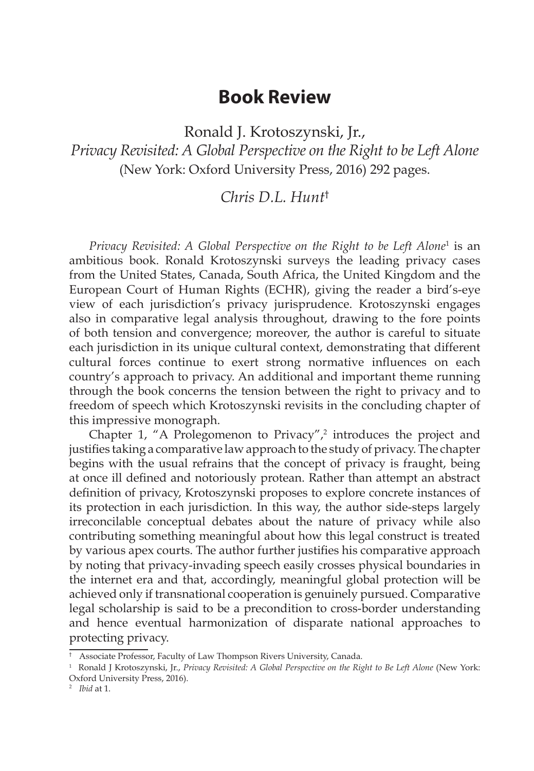## **Book Review**

Ronald J. Krotoszynski, Jr., *Privacy Revisited: A Global Perspective on the Right to be Left Alone* (New York: Oxford University Press, 2016) 292 pages.

## *Chris D.L. Hunt*†

Privacy Revisited: A Global Perspective on the Right to be Left Alone<sup>1</sup> is an ambitious book. Ronald Krotoszynski surveys the leading privacy cases from the United States, Canada, South Africa, the United Kingdom and the European Court of Human Rights (ECHR), giving the reader a bird's-eye view of each jurisdiction's privacy jurisprudence. Krotoszynski engages also in comparative legal analysis throughout, drawing to the fore points of both tension and convergence; moreover, the author is careful to situate each jurisdiction in its unique cultural context, demonstrating that different cultural forces continue to exert strong normative influences on each country's approach to privacy. An additional and important theme running through the book concerns the tension between the right to privacy and to freedom of speech which Krotoszynski revisits in the concluding chapter of this impressive monograph.

Chapter 1, "A Prolegomenon to Privacy", $2$  introduces the project and justifies taking a comparative law approach to the study of privacy. The chapter begins with the usual refrains that the concept of privacy is fraught, being at once ill defined and notoriously protean. Rather than attempt an abstract definition of privacy, Krotoszynski proposes to explore concrete instances of its protection in each jurisdiction. In this way, the author side-steps largely irreconcilable conceptual debates about the nature of privacy while also contributing something meaningful about how this legal construct is treated by various apex courts. The author further justifies his comparative approach by noting that privacy-invading speech easily crosses physical boundaries in the internet era and that, accordingly, meaningful global protection will be achieved only if transnational cooperation is genuinely pursued. Comparative legal scholarship is said to be a precondition to cross-border understanding and hence eventual harmonization of disparate national approaches to protecting privacy.

<sup>&</sup>lt;sup>†</sup> Associate Professor, Faculty of Law Thompson Rivers University, Canada.

<sup>1</sup> Ronald J Krotoszynski, Jr., *Privacy Revisited: A Global Perspective on the Right to Be Left Alone* (New York: Oxford University Press, 2016).

<sup>2</sup> *Ibid* at 1.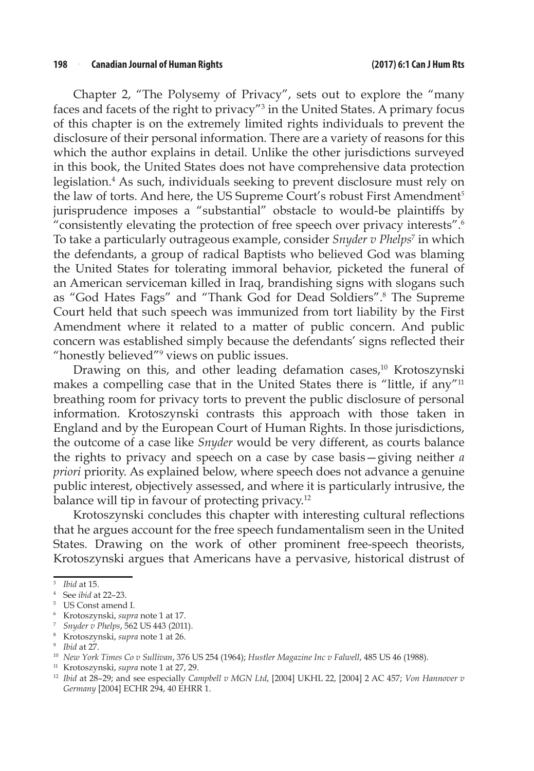Chapter 2, "The Polysemy of Privacy", sets out to explore the "many faces and facets of the right to privacy"<sup>3</sup> in the United States. A primary focus of this chapter is on the extremely limited rights individuals to prevent the disclosure of their personal information. There are a variety of reasons for this which the author explains in detail. Unlike the other jurisdictions surveyed in this book, the United States does not have comprehensive data protection legislation.<sup>4</sup> As such, individuals seeking to prevent disclosure must rely on the law of torts. And here, the US Supreme Court's robust First Amendment<sup>5</sup> jurisprudence imposes a "substantial" obstacle to would-be plaintiffs by "consistently elevating the protection of free speech over privacy interests".6 To take a particularly outrageous example, consider *Snyder v Phelps*<sup>7</sup> in which the defendants, a group of radical Baptists who believed God was blaming the United States for tolerating immoral behavior, picketed the funeral of an American serviceman killed in Iraq, brandishing signs with slogans such as "God Hates Fags" and "Thank God for Dead Soldiers".<sup>8</sup> The Supreme Court held that such speech was immunized from tort liability by the First Amendment where it related to a matter of public concern. And public concern was established simply because the defendants' signs reflected their "honestly believed"<sup>9</sup> views on public issues.

Drawing on this, and other leading defamation cases,<sup>10</sup> Krotoszynski makes a compelling case that in the United States there is "little, if any"<sup>11</sup> breathing room for privacy torts to prevent the public disclosure of personal information. Krotoszynski contrasts this approach with those taken in England and by the European Court of Human Rights. In those jurisdictions, the outcome of a case like *Snyder* would be very different, as courts balance the rights to privacy and speech on a case by case basis—giving neither *a priori* priority. As explained below, where speech does not advance a genuine public interest, objectively assessed, and where it is particularly intrusive, the balance will tip in favour of protecting privacy.<sup>12</sup>

Krotoszynski concludes this chapter with interesting cultural reflections that he argues account for the free speech fundamentalism seen in the United States. Drawing on the work of other prominent free-speech theorists, Krotoszynski argues that Americans have a pervasive, historical distrust of

<sup>11</sup> Krotoszynski, *supra* note 1 at 27, 29.

<sup>3</sup> *Ibid* at 15.

<sup>4</sup> See *ibid* at 22–23.

<sup>5</sup> US Const amend I.

<sup>6</sup> Krotoszynski, *supra* note 1 at 17.

<sup>7</sup> *Snyder v Phelps*, 562 US 443 (2011).

<sup>8</sup> Krotoszynski, *supra* note 1 at 26.

<sup>9</sup> *Ibid* at 27.

<sup>10</sup> *New York Times Co v Sullivan*, 376 US 254 (1964); *Hustler Magazine Inc v Falwell*, 485 US 46 (1988).

<sup>12</sup> *Ibid* at 28–29; and see especially *Campbell v MGN Ltd*, [2004] UKHL 22, [2004] 2 AC 457; *Von Hannover v Germany* [2004] ECHR 294, 40 EHRR 1.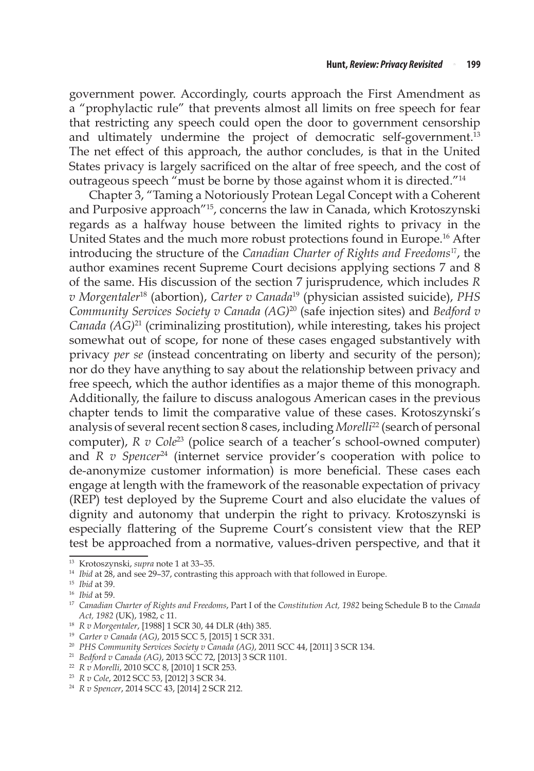government power. Accordingly, courts approach the First Amendment as a "prophylactic rule" that prevents almost all limits on free speech for fear that restricting any speech could open the door to government censorship and ultimately undermine the project of democratic self-government.<sup>13</sup> The net effect of this approach, the author concludes, is that in the United States privacy is largely sacrificed on the altar of free speech, and the cost of outrageous speech "must be borne by those against whom it is directed."14

Chapter 3, "Taming a Notoriously Protean Legal Concept with a Coherent and Purposive approach"15, concerns the law in Canada, which Krotoszynski regards as a halfway house between the limited rights to privacy in the United States and the much more robust protections found in Europe.16 After introducing the structure of the *Canadian Charter of Rights and Freedoms*<sup>17</sup>, the author examines recent Supreme Court decisions applying sections 7 and 8 of the same. His discussion of the section 7 jurisprudence, which includes *R v Morgentaler*18 (abortion), *Carter v Canada*19 (physician assisted suicide), *PHS Community Services Society v Canada (AG)*20 (safe injection sites) and *Bedford v Canada (AG)*21 (criminalizing prostitution), while interesting, takes his project somewhat out of scope, for none of these cases engaged substantively with privacy *per se* (instead concentrating on liberty and security of the person); nor do they have anything to say about the relationship between privacy and free speech, which the author identifies as a major theme of this monograph. Additionally, the failure to discuss analogous American cases in the previous chapter tends to limit the comparative value of these cases. Krotoszynski's analysis of several recent section 8 cases, including *Morelli*22 (search of personal computer), *R v Cole*<sup>23</sup> (police search of a teacher's school-owned computer) and *R v Spencer*24 (internet service provider's cooperation with police to de-anonymize customer information) is more beneficial. These cases each engage at length with the framework of the reasonable expectation of privacy (REP) test deployed by the Supreme Court and also elucidate the values of dignity and autonomy that underpin the right to privacy. Krotoszynski is especially flattering of the Supreme Court's consistent view that the REP test be approached from a normative, values-driven perspective, and that it

<sup>13</sup> Krotoszynski, *supra* note 1 at 33–35.

<sup>&</sup>lt;sup>14</sup> *Ibid* at 28, and see 29-37, contrasting this approach with that followed in Europe.

<sup>15</sup> *Ibid* at 39.

<sup>16</sup> *Ibid* at 59.

<sup>17</sup> *Canadian Charter of Rights and Freedoms*, Part I of the *Constitution Act, 1982* being Schedule B to the *Canada Act, 1982* (UK), 1982, c 11.

<sup>18</sup> *R v Morgentaler*, [1988] 1 SCR 30, 44 DLR (4th) 385.

<sup>19</sup> *Carter v Canada (AG)*, 2015 SCC 5, [2015] 1 SCR 331.

<sup>20</sup> *PHS Community Services Society v Canada (AG)*, 2011 SCC 44, [2011] 3 SCR 134.

<sup>21</sup> *Bedford v Canada (AG)*, 2013 SCC 72, [2013] 3 SCR 1101.

<sup>22</sup> *R v Morelli*, 2010 SCC 8, [2010] 1 SCR 253.

<sup>23</sup> *R v Cole*, 2012 SCC 53, [2012] 3 SCR 34.

<sup>24</sup> *R v Spencer*, 2014 SCC 43, [2014] 2 SCR 212.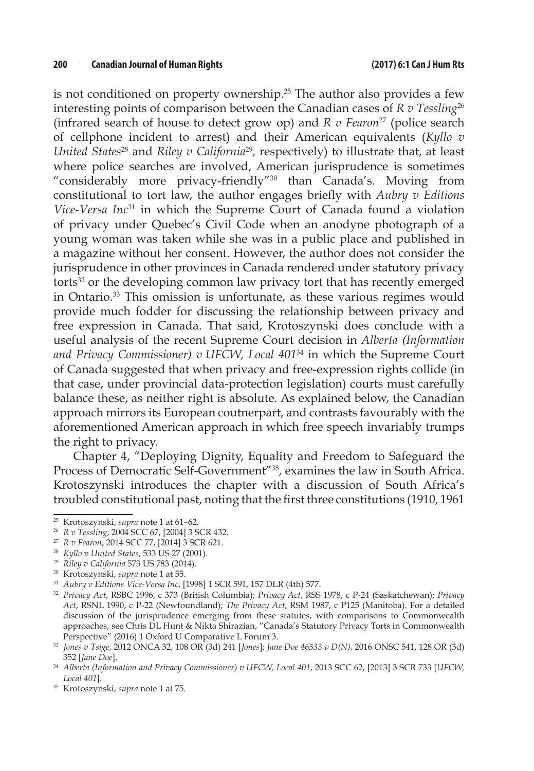is not conditioned on property ownership.<sup>25</sup> The author also provides a few interesting points of comparison between the Canadian cases of *R v Tessling*<sup>26</sup> (infrared search of house to detect grow op) and *R v Fearon*27 (police search of cellphone incident to arrest) and their American equivalents (*Kyllo v United States*<sup>28</sup> and *Riley v California*<sup>29</sup>, respectively) to illustrate that, at least where police searches are involved, American jurisprudence is sometimes "considerably more privacy-friendly"30 than Canada's. Moving from constitutional to tort law, the author engages briefly with *Aubry v Editions Vice-Versa Inc*31 in which the Supreme Court of Canada found a violation of privacy under Quebec's Civil Code when an anodyne photograph of a young woman was taken while she was in a public place and published in a magazine without her consent. However, the author does not consider the jurisprudence in other provinces in Canada rendered under statutory privacy torts32 or the developing common law privacy tort that has recently emerged in Ontario.33 This omission is unfortunate, as these various regimes would provide much fodder for discussing the relationship between privacy and free expression in Canada. That said, Krotoszynski does conclude with a useful analysis of the recent Supreme Court decision in *Alberta (Information and Privacy Commissioner) v UFCW, Local 401*34 in which the Supreme Court of Canada suggested that when privacy and free-expression rights collide (in that case, under provincial data-protection legislation) courts must carefully balance these, as neither right is absolute. As explained below, the Canadian approach mirrors its European coutnerpart, and contrasts favourably with the aforementioned American approach in which free speech invariably trumps the right to privacy.

Chapter 4, "Deploying Dignity, Equality and Freedom to Safeguard the Process of Democratic Self-Government"35, examines the law in South Africa. Krotoszynski introduces the chapter with a discussion of South Africa's troubled constitutional past, noting that the first three constitutions (1910, 1961

<sup>25</sup> Krotoszynski, *supra* note 1 at 61–62.

<sup>26</sup> *R v Tessling*, 2004 SCC 67, [2004] 3 SCR 432.

<sup>27</sup> *R v Fearon*, 2014 SCC 77, [2014] 3 SCR 621.

<sup>28</sup> *Kyllo v United States*, 533 US 27 (2001).

<sup>29</sup> *Riley v California* 573 US 783 (2014).

<sup>30</sup> Krotoszynski, *supra* note 1 at 55.

<sup>31</sup> *Aubry v Editions Vice-Versa Inc*, [1998] 1 SCR 591, 157 DLR (4th) 577.

<sup>32</sup> *Privacy Act*, RSBC 1996, c 373 (British Columbia); *Privacy Act*, RSS 1978, c P-24 (Saskatchewan); *Privacy Act*, RSNL 1990, c P-22 (Newfoundland); *The Privacy Act*, RSM 1987, c P125 (Manitoba). For a detailed discussion of the jurisprudence emerging from these statutes, with comparisons to Commonwealth approaches, see Chris DL Hunt & Nikta Shirazian, "Canada's Statutory Privacy Torts in Commonwealth Perspective" (2016) 1 Oxford U Comparative L Forum 3.

<sup>33</sup> *Jones v Tsige*, 2012 ONCA 32, 108 OR (3d) 241 [*Jones*]; *Jane Doe 46533 v D(N)*, 2016 ONSC 541, 128 OR (3d) 352 [*Jane Doe*].

<sup>34</sup> *Alberta (Information and Privacy Commissioner) v UFCW, Local 401*, 2013 SCC 62, [2013] 3 SCR 733 [*UFCW, Local 401*].

<sup>35</sup> Krotoszynski, *supra* note 1 at 75.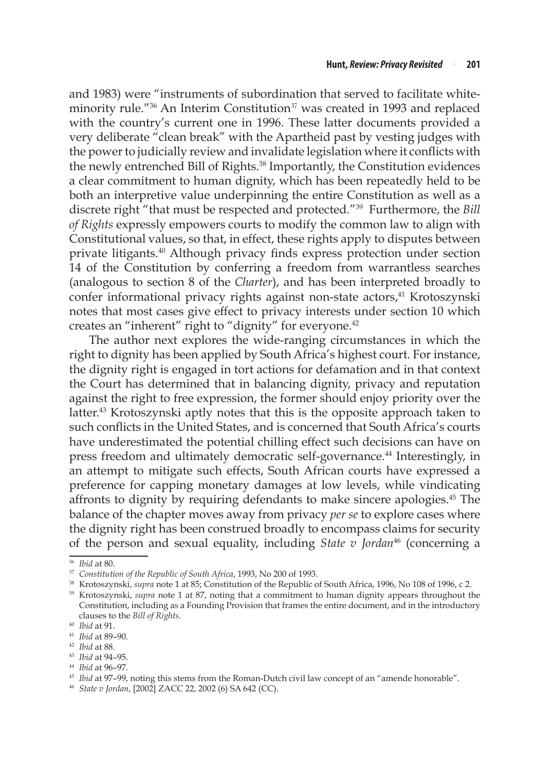and 1983) were "instruments of subordination that served to facilitate whiteminority rule."<sup>36</sup> An Interim Constitution<sup>37</sup> was created in 1993 and replaced with the country's current one in 1996. These latter documents provided a very deliberate "clean break" with the Apartheid past by vesting judges with the power to judicially review and invalidate legislation where it conflicts with the newly entrenched Bill of Rights.<sup>38</sup> Importantly, the Constitution evidences a clear commitment to human dignity, which has been repeatedly held to be both an interpretive value underpinning the entire Constitution as well as a discrete right "that must be respected and protected."39 Furthermore, the *Bill of Rights* expressly empowers courts to modify the common law to align with Constitutional values, so that, in effect, these rights apply to disputes between private litigants.40 Although privacy finds express protection under section 14 of the Constitution by conferring a freedom from warrantless searches (analogous to section 8 of the *Charter*), and has been interpreted broadly to confer informational privacy rights against non-state actors,<sup>41</sup> Krotoszynski notes that most cases give effect to privacy interests under section 10 which creates an "inherent" right to "dignity" for everyone.<sup>42</sup>

The author next explores the wide-ranging circumstances in which the right to dignity has been applied by South Africa's highest court. For instance, the dignity right is engaged in tort actions for defamation and in that context the Court has determined that in balancing dignity, privacy and reputation against the right to free expression, the former should enjoy priority over the latter.<sup>43</sup> Krotoszynski aptly notes that this is the opposite approach taken to such conflicts in the United States, and is concerned that South Africa's courts have underestimated the potential chilling effect such decisions can have on press freedom and ultimately democratic self-governance.44 Interestingly, in an attempt to mitigate such effects, South African courts have expressed a preference for capping monetary damages at low levels, while vindicating affronts to dignity by requiring defendants to make sincere apologies.45 The balance of the chapter moves away from privacy *per se* to explore cases where the dignity right has been construed broadly to encompass claims for security of the person and sexual equality, including *State v Jordan*46 (concerning a

<sup>36</sup> *Ibid* at 80.

<sup>37</sup> *Constitution of the Republic of South Africa*, 1993, No 200 of 1993.

<sup>&</sup>lt;sup>38</sup> Krotoszynski, *supra* note 1 at 85; Constitution of the Republic of South Africa, 1996, No 108 of 1996, c 2.<br><sup>39</sup> Krotoszynski, *supra* note 1 at 87, noting that a commitment to human dignity appears throughout the

Constitution, including as a Founding Provision that frames the entire document, and in the introductory clauses to the *Bill of Rights*. 40 *Ibid* at 91.

<sup>41</sup> *Ibid* at 89–90.

<sup>42</sup> *Ibid* at 88.

<sup>43</sup> *Ibid* at 94–95.

<sup>44</sup> *Ibid* at 96–97.

<sup>45</sup> *Ibid* at 97–99, noting this stems from the Roman-Dutch civil law concept of an "amende honorable".

<sup>46</sup> *State v Jordan*, [2002] ZACC 22, 2002 (6) SA 642 (CC).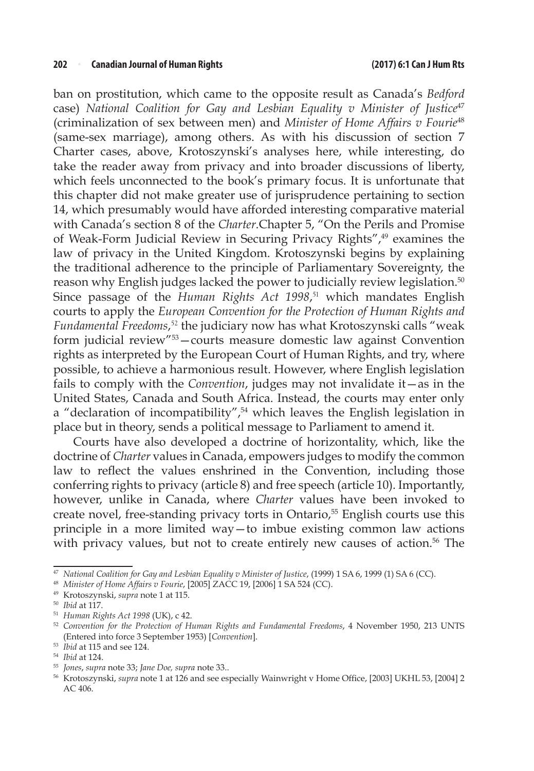ban on prostitution, which came to the opposite result as Canada's *Bedford* case) *National Coalition for Gay and Lesbian Equality v Minister of Justice<sup>47</sup>* (criminalization of sex between men) and *Minister of Home Affairs v Fourie*<sup>48</sup> (same-sex marriage), among others. As with his discussion of section 7 Charter cases, above, Krotoszynski's analyses here, while interesting, do take the reader away from privacy and into broader discussions of liberty, which feels unconnected to the book's primary focus. It is unfortunate that this chapter did not make greater use of jurisprudence pertaining to section 14, which presumably would have afforded interesting comparative material with Canada's section 8 of the *Charter*.Chapter 5, "On the Perils and Promise of Weak-Form Judicial Review in Securing Privacy Rights",49 examines the law of privacy in the United Kingdom. Krotoszynski begins by explaining the traditional adherence to the principle of Parliamentary Sovereignty, the reason why English judges lacked the power to judicially review legislation.<sup>50</sup> Since passage of the *Human Rights Act 1998*, <sup>51</sup> which mandates English courts to apply the *European Convention for the Protection of Human Rights and Fundamental Freedoms*, <sup>52</sup> the judiciary now has what Krotoszynski calls "weak form judicial review"53—courts measure domestic law against Convention rights as interpreted by the European Court of Human Rights, and try, where possible, to achieve a harmonious result. However, where English legislation fails to comply with the *Convention*, judges may not invalidate it—as in the United States, Canada and South Africa. Instead, the courts may enter only a "declaration of incompatibility",<sup>54</sup> which leaves the English legislation in place but in theory, sends a political message to Parliament to amend it.

Courts have also developed a doctrine of horizontality, which, like the doctrine of *Charter* values in Canada, empowers judges to modify the common law to reflect the values enshrined in the Convention, including those conferring rights to privacy (article 8) and free speech (article 10). Importantly, however, unlike in Canada, where *Charter* values have been invoked to create novel, free-standing privacy torts in Ontario,<sup>55</sup> English courts use this principle in a more limited way—to imbue existing common law actions with privacy values, but not to create entirely new causes of action.<sup>56</sup> The

<sup>47</sup> *National Coalition for Gay and Lesbian Equality v Minister of Justice*, (1999) 1 SA 6, 1999 (1) SA 6 (CC).

<sup>48</sup> *Minister of Home Affairs v Fourie*, [2005] ZACC 19, [2006] 1 SA 524 (CC).

<sup>49</sup> Krotoszynski, *supra* note 1 at 115.

<sup>50</sup> *Ibid* at 117.

<sup>51</sup> *Human Rights Act 1998* (UK), c 42.

<sup>52</sup> *Convention for the Protection of Human Rights and Fundamental Freedoms*, 4 November 1950, 213 UNTS (Entered into force 3 September 1953) [*Convention*].

<sup>53</sup> *Ibid* at 115 and see 124.

<sup>54</sup> *Ibid* at 124.

<sup>55</sup> *Jones*, *supra* note 33; *Jane Doe, supra* note 33..

<sup>56</sup> Krotoszynski, *supra* note 1 at 126 and see especially Wainwright v Home Office, [2003] UKHL 53, [2004] 2 AC 406.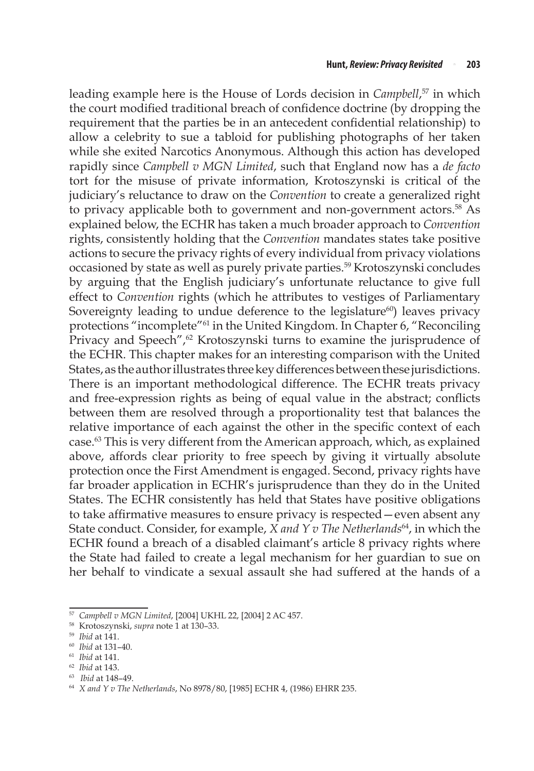leading example here is the House of Lords decision in *Campbell*, 57 in which the court modified traditional breach of confidence doctrine (by dropping the requirement that the parties be in an antecedent confidential relationship) to allow a celebrity to sue a tabloid for publishing photographs of her taken while she exited Narcotics Anonymous. Although this action has developed rapidly since *Campbell v MGN Limited*, such that England now has a *de facto* tort for the misuse of private information, Krotoszynski is critical of the judiciary's reluctance to draw on the *Convention* to create a generalized right to privacy applicable both to government and non-government actors.<sup>58</sup> As explained below, the ECHR has taken a much broader approach to *Convention* rights, consistently holding that the *Convention* mandates states take positive actions to secure the privacy rights of every individual from privacy violations occasioned by state as well as purely private parties.<sup>59</sup> Krotoszynski concludes by arguing that the English judiciary's unfortunate reluctance to give full effect to *Convention* rights (which he attributes to vestiges of Parliamentary Sovereignty leading to undue deference to the legislature<sup>60</sup>) leaves privacy protections "incomplete"61 in the United Kingdom. In Chapter 6, "Reconciling Privacy and Speech",<sup>62</sup> Krotoszynski turns to examine the jurisprudence of the ECHR. This chapter makes for an interesting comparison with the United States, as the author illustrates three key differences between these jurisdictions. There is an important methodological difference. The ECHR treats privacy and free-expression rights as being of equal value in the abstract; conflicts between them are resolved through a proportionality test that balances the relative importance of each against the other in the specific context of each case.63 This is very different from the American approach, which, as explained above, affords clear priority to free speech by giving it virtually absolute protection once the First Amendment is engaged. Second, privacy rights have far broader application in ECHR's jurisprudence than they do in the United States. The ECHR consistently has held that States have positive obligations to take affirmative measures to ensure privacy is respected—even absent any State conduct. Consider, for example, *X and Y v The Netherlands*64, in which the ECHR found a breach of a disabled claimant's article 8 privacy rights where the State had failed to create a legal mechanism for her guardian to sue on her behalf to vindicate a sexual assault she had suffered at the hands of a

<sup>57</sup> *Campbell v MGN Limited*, [2004] UKHL 22, [2004] 2 AC 457.

<sup>58</sup> Krotoszynski, *supra* note 1 at 130–33.

<sup>59</sup> *Ibid* at 141.

<sup>60</sup> *Ibid* at 131–40.

<sup>61</sup> *Ibid* at 141.

<sup>62</sup> *Ibid* at 143.

<sup>63</sup> *Ibid* at 148–49.

<sup>64</sup> *X and Y v The Netherlands*, No 8978/80, [1985] ECHR 4, (1986) EHRR 235.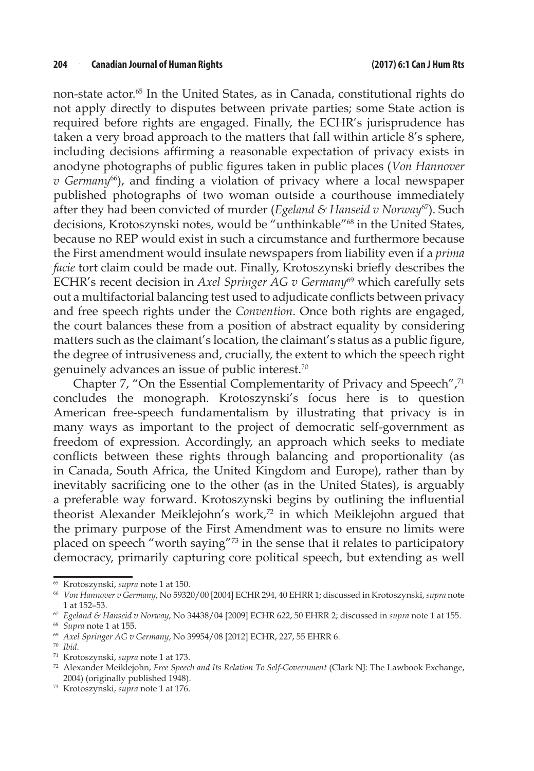non-state actor.65 In the United States, as in Canada, constitutional rights do not apply directly to disputes between private parties; some State action is required before rights are engaged. Finally, the ECHR's jurisprudence has taken a very broad approach to the matters that fall within article 8's sphere, including decisions affirming a reasonable expectation of privacy exists in anodyne photographs of public figures taken in public places (*Von Hannover v* Germany<sup>66</sup>), and finding a violation of privacy where a local newspaper published photographs of two woman outside a courthouse immediately after they had been convicted of murder (*Egeland & Hanseid v Norway*67). Such decisions, Krotoszynski notes, would be "unthinkable"68 in the United States, because no REP would exist in such a circumstance and furthermore because the First amendment would insulate newspapers from liability even if a *prima facie* tort claim could be made out. Finally, Krotoszynski briefly describes the ECHR's recent decision in *Axel Springer AG v Germany*69 which carefully sets out a multifactorial balancing test used to adjudicate conflicts between privacy and free speech rights under the *Convention*. Once both rights are engaged, the court balances these from a position of abstract equality by considering matters such as the claimant's location, the claimant's status as a public figure, the degree of intrusiveness and, crucially, the extent to which the speech right genuinely advances an issue of public interest.<sup>70</sup>

Chapter 7, "On the Essential Complementarity of Privacy and Speech",71 concludes the monograph. Krotoszynski's focus here is to question American free-speech fundamentalism by illustrating that privacy is in many ways as important to the project of democratic self-government as freedom of expression. Accordingly, an approach which seeks to mediate conflicts between these rights through balancing and proportionality (as in Canada, South Africa, the United Kingdom and Europe), rather than by inevitably sacrificing one to the other (as in the United States), is arguably a preferable way forward. Krotoszynski begins by outlining the influential theorist Alexander Meiklejohn's work,<sup>72</sup> in which Meiklejohn argued that the primary purpose of the First Amendment was to ensure no limits were placed on speech "worth saying"73 in the sense that it relates to participatory democracy, primarily capturing core political speech, but extending as well

<sup>65</sup> Krotoszynski, *supra* note 1 at 150.

<sup>66</sup> *Von Hannover v Germany*, No 59320/00 [2004] ECHR 294, 40 EHRR 1; discussed in Krotoszynski, *supra* note 1 at 152–53.

<sup>67</sup> *Egeland & Hanseid v Norway*, No 34438/04 [2009] ECHR 622, 50 EHRR 2; discussed in *supra* note 1 at 155.

<sup>68</sup> *Supra* note 1 at 155.

<sup>69</sup> *Axel Springer AG v Germany*, No 39954/08 [2012] ECHR, 227, 55 EHRR 6.

<sup>70</sup> *Ibid*.

<sup>71</sup> Krotoszynski, *supra* note 1 at 173.

<sup>72</sup> Alexander Meiklejohn, *Free Speech and Its Relation To Self-Government* (Clark NJ: The Lawbook Exchange, 2004) (originally published 1948).

<sup>73</sup> Krotoszynski, *supra* note 1 at 176.